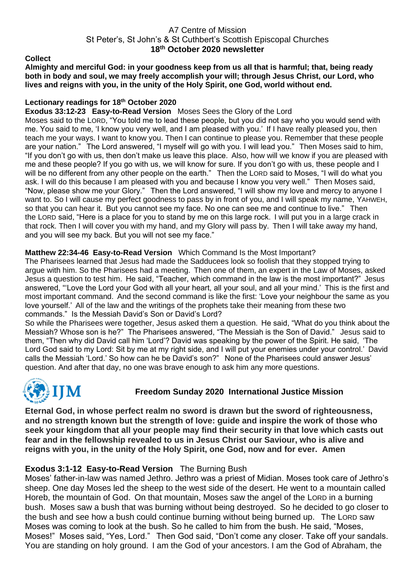## A7 Centre of Mission St Peter's, St John's & St Cuthbert's Scottish Episcopal Churches **18 th October 2020 newsletter**

#### **Collect**

**Almighty and merciful God: in your goodness keep from us all that is harmful; that, being ready both in body and soul, we may freely accomplish your will; through Jesus Christ, our Lord, who lives and reigns with you, in the unity of the Holy Spirit, one God, world without end.**

## **Lectionary readings for 18th October 2020**

**Exodus 33:12-23 Easy-to-Read Version** Moses Sees the Glory of the Lord

Moses said to the LORD, "You told me to lead these people, but you did not say who you would send with me. You said to me, 'I know you very well, and I am pleased with you.' If I have really pleased you, then teach me your ways. I want to know you. Then I can continue to please you. Remember that these people are your nation." The Lord answered, "I myself will go with you. I will lead you." Then Moses said to him, "If you don't go with us, then don't make us leave this place. Also, how will we know if you are pleased with me and these people? If you go with us, we will know for sure. If you don't go with us, these people and I will be no different from any other people on the earth." Then the LORD said to Moses, "I will do what you ask. I will do this because I am pleased with you and because I know you very well." Then Moses said, "Now, please show me your Glory." Then the Lord answered, "I will show my love and mercy to anyone I want to. So I will cause my perfect goodness to pass by in front of you, and I will speak my name, YAHWEH, so that you can hear it. But you cannot see my face. No one can see me and continue to live." Then the LORD said, "Here is a place for you to stand by me on this large rock. I will put you in a large crack in that rock. Then I will cover you with my hand, and my Glory will pass by. Then I will take away my hand, and you will see my back. But you will not see my face."

## **Matthew 22:34-46 Easy-to-Read Version** Which Command Is the Most Important?

The Pharisees learned that Jesus had made the Sadducees look so foolish that they stopped trying to argue with him. So the Pharisees had a meeting. Then one of them, an expert in the Law of Moses, asked Jesus a question to test him. He said, "Teacher, which command in the law is the most important?" Jesus answered, "'Love the Lord your God with all your heart, all your soul, and all your mind.' This is the first and most important command. And the second command is like the first: 'Love your neighbour the same as you love yourself.' All of the law and the writings of the prophets take their meaning from these two commands." Is the Messiah David's Son or David's Lord?

So while the Pharisees were together, Jesus asked them a question. He said, "What do you think about the Messiah? Whose son is he?" The Pharisees answered, "The Messiah is the Son of David." Jesus said to them, "Then why did David call him 'Lord'? David was speaking by the power of the Spirit. He said, 'The Lord God said to my Lord: Sit by me at my right side, and I will put your enemies under your control.' David calls the Messiah 'Lord.' So how can he be David's son?" None of the Pharisees could answer Jesus' question. And after that day, no one was brave enough to ask him any more questions.



# **Freedom Sunday 2020 International Justice Mission**

**Eternal God, in whose perfect realm no sword is drawn but the sword of righteousness, and no strength known but the strength of love: guide and inspire the work of those who seek your kingdom that all your people may find their security in that love which casts out fear and in the fellowship revealed to us in Jesus Christ our Saviour, who is alive and reigns with you, in the unity of the Holy Spirit, one God, now and for ever. Amen**

## **Exodus 3:1-12 Easy-to-Read Version** The Burning Bush

Moses' father-in-law was named Jethro. Jethro was a priest of Midian. Moses took care of Jethro's sheep. One day Moses led the sheep to the west side of the desert. He went to a mountain called Horeb, the mountain of God. On that mountain, Moses saw the angel of the LORD in a burning bush. Moses saw a bush that was burning without being destroyed. So he decided to go closer to the bush and see how a bush could continue burning without being burned up. The LORD saw Moses was coming to look at the bush. So he called to him from the bush. He said, "Moses, Moses!" Moses said, "Yes, Lord." Then God said, "Don't come any closer. Take off your sandals. You are standing on holy ground. I am the God of your ancestors. I am the God of Abraham, the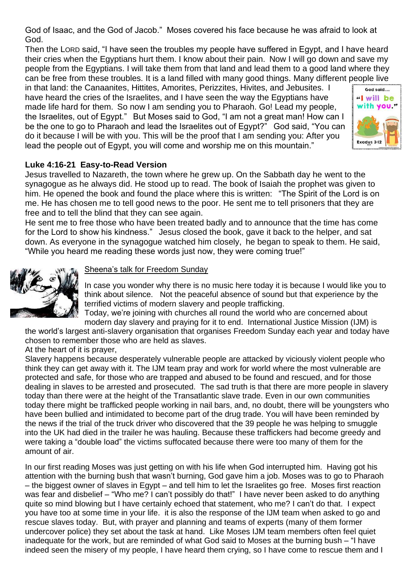God of Isaac, and the God of Jacob." Moses covered his face because he was afraid to look at God.

Then the LORD said, "I have seen the troubles my people have suffered in Egypt, and I have heard their cries when the Egyptians hurt them. I know about their pain. Now I will go down and save my people from the Egyptians. I will take them from that land and lead them to a good land where they can be free from these troubles. It is a land filled with many good things. Many different people live

in that land: the Canaanites, Hittites, Amorites, Perizzites, Hivites, and Jebusites. I have heard the cries of the Israelites, and I have seen the way the Egyptians have made life hard for them. So now I am sending you to Pharaoh. Go! Lead my people, the Israelites, out of Egypt." But Moses said to God, "I am not a great man! How can I be the one to go to Pharaoh and lead the Israelites out of Egypt?" God said, "You can do it because I will be with you. This will be the proof that I am sending you: After you lead the people out of Egypt, you will come and worship me on this mountain."



# **Luke 4:16-21 Easy-to-Read Version**

Jesus travelled to Nazareth, the town where he grew up. On the Sabbath day he went to the synagogue as he always did. He stood up to read. The book of Isaiah the prophet was given to him. He opened the book and found the place where this is written: "The Spirit of the Lord is on me. He has chosen me to tell good news to the poor. He sent me to tell prisoners that they are free and to tell the blind that they can see again.

He sent me to free those who have been treated badly and to announce that the time has come for the Lord to show his kindness." Jesus closed the book, gave it back to the helper, and sat down. As everyone in the synagogue watched him closely, he began to speak to them. He said, "While you heard me reading these words just now, they were coming true!"



## Sheena's talk for Freedom Sunday

In case you wonder why there is no music here today it is because I would like you to think about silence. Not the peaceful absence of sound but that experience by the terrified victims of modern slavery and people trafficking.

Today, we're joining with churches all round the world who are concerned about modern day slavery and praying for it to end. International Justice Mission (IJM) is

the world's largest anti-slavery organisation that organises Freedom Sunday each year and today have chosen to remember those who are held as slaves. At the heart of it is prayer,

Slavery happens because desperately vulnerable people are attacked by viciously violent people who think they can get away with it. The IJM team pray and work for world where the most vulnerable are protected and safe, for those who are trapped and abused to be found and rescued, and for those dealing in slaves to be arrested and prosecuted. The sad truth is that there are more people in slavery today than there were at the height of the Transatlantic slave trade. Even in our own communities today there might be trafficked people working in nail bars, and, no doubt, there will be youngsters who have been bullied and intimidated to become part of the drug trade. You will have been reminded by the news if the trial of the truck driver who discovered that the 39 people he was helping to smuggle into the UK had died in the trailer he was hauling. Because these traffickers had become greedy and were taking a "double load" the victims suffocated because there were too many of them for the amount of air.

In our first reading Moses was just getting on with his life when God interrupted him. Having got his attention with the burning bush that wasn't burning, God gave him a job. Moses was to go to Pharaoh – the biggest owner of slaves in Egypt – and tell him to let the Israelites go free. Moses first reaction was fear and disbelief – "Who me? I can't possibly do that!" I have never been asked to do anything quite so mind blowing but I have certainly echoed that statement, who me? I can't do that. I expect you have too at some time in your life. it is also the response of the IJM team when asked to go and rescue slaves today. But, with prayer and planning and teams of experts (many of them former undercover police) they set about the task at hand. Like Moses IJM team members often feel quiet inadequate for the work, but are reminded of what God said to Moses at the burning bush – "I have indeed seen the misery of my people, I have heard them crying, so I have come to rescue them and I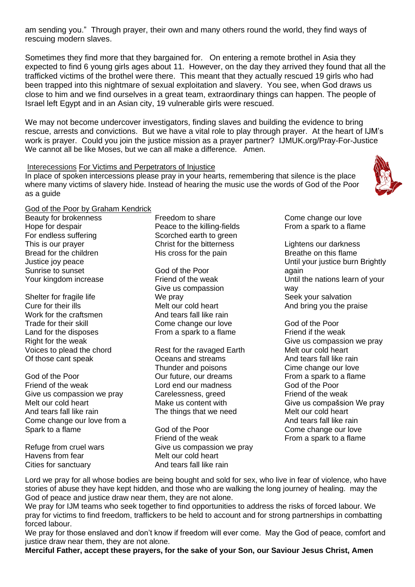am sending you." Through prayer, their own and many others round the world, they find ways of rescuing modern slaves.

Sometimes they find more that they bargained for. On entering a remote brothel in Asia they expected to find 6 young girls ages about 11. However, on the day they arrived they found that all the trafficked victims of the brothel were there. This meant that they actually rescued 19 girls who had been trapped into this nightmare of sexual exploitation and slavery. You see, when God draws us close to him and we find ourselves in a great team, extraordinary things can happen. The people of Israel left Egypt and in an Asian city, 19 vulnerable girls were rescued.

We may not become undercover investigators, finding slaves and building the evidence to bring rescue, arrests and convictions. But we have a vital role to play through prayer. At the heart of IJM's work is prayer. Could you join the justice mission as a prayer partner? IJMUK.org/Pray-For-Justice We cannot all be like Moses, but we can all make a difference. Amen.

#### Interecessions For Victims and Perpetrators of Injustice

In place of spoken intercessions please pray in your hearts, remembering that silence is the place where many victims of slavery hide. Instead of hearing the music use the words of God of the Poor as a guide

#### God of the Poor by Graham Kendrick

Beauty for brokenness Hope for despair For endless suffering This is our prayer Bread for the children Justice joy peace Sunrise to sunset Your kingdom increase

Shelter for fragile life Cure for their ills Work for the craftsmen Trade for their skill Land for the disposes Right for the weak Voices to plead the chord Of those cant speak

God of the Poor Friend of the weak Give us compassion we pray Melt our cold heart And tears fall like rain Come change our love from a Spark to a flame

Refuge from cruel wars Havens from fear Cities for sanctuary

Freedom to share Peace to the killing-fields Scorched earth to green Christ for the bitterness His cross for the pain

God of the Poor Friend of the weak Give us compassion We pray Melt our cold heart And tears fall like rain Come change our love From a spark to a flame

Rest for the ravaged Earth Oceans and streams Thunder and poisons Our future, our dreams Lord end our madness Carelessness, greed Make us content with The things that we need

God of the Poor Friend of the weak Give us compassion we pray Melt our cold heart And tears fall like rain

Come change our love From a spark to a flame

Lightens our darkness Breathe on this flame Until your justice burn Brightly again Until the nations learn of your way Seek your salvation And bring you the praise

God of the Poor Friend if the weak Give us compassion we pray Melt our cold heart And tears fall like rain Cime change our love From a spark to a flame God of the Poor Friend of the weak Give us compašsion We pray Melt our cold heart And tears fall like rain Come change our love From a spark to a flame

Lord we pray for all whose bodies are being bought and sold for sex, who live in fear of violence, who have stories of abuse they have kept hidden, and those who are walking the long journey of healing. may the God of peace and justice draw near them, they are not alone.

We pray for IJM teams who seek together to find opportunities to address the risks of forced labour. We pray for victims to find freedom, traffickers to be held to account and for strong partnerships in combatting forced labour.

We pray for those enslaved and don't know if freedom will ever come. May the God of peace, comfort and justice draw near them, they are not alone.

**Merciful Father, accept these prayers, for the sake of your Son, our Saviour Jesus Christ, Amen**

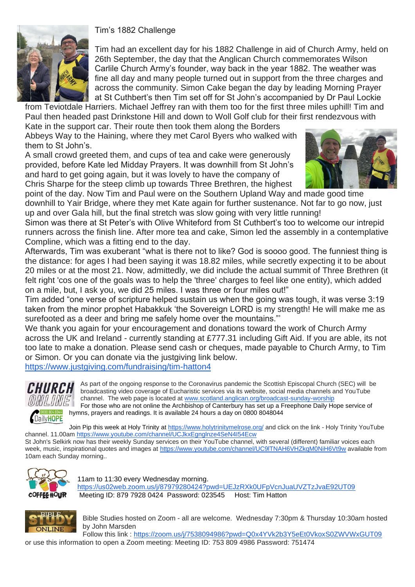## Tim's 1882 Challenge



Tim had an excellent day for his 1882 Challenge in aid of Church Army, held on 26th September, the day that the Anglican Church commemorates Wilson Carlile Church Army's founder, way back in the year 1882. The weather was fine all day and many people turned out in support from the three charges and across the community. Simon Cake began the day by leading Morning Prayer at St Cuthbert's then Tim set off for St John's accompanied by Dr Paul Lockie

from Teviotdale Harriers. Michael Jeffrey ran with them too for the first three miles uphill! Tim and Paul then headed past Drinkstone Hill and down to Woll Golf club for their first rendezvous with

Kate in the support car. Their route then took them along the Borders Abbeys Way to the Haining, where they met Carol Byers who walked with them to St John's.

A small crowd greeted them, and cups of tea and cake were generously provided, before Kate led Midday Prayers. It was downhill from St John's and hard to get going again, but it was lovely to have the company of Chris Sharpe for the steep climb up towards Three Brethren, the highest



point of the day. Now Tim and Paul were on the Southern Upland Way and made good time downhill to Yair Bridge, where they met Kate again for further sustenance. Not far to go now, just up and over Gala hill, but the final stretch was slow going with very little running!

Simon was there at St Peter's with Olive Whiteford from St Cuthbert's too to welcome our intrepid runners across the finish line. After more tea and cake, Simon led the assembly in a contemplative Compline, which was a fitting end to the day.

Afterwards, Tim was exuberant "what is there not to like? God is soooo good. The funniest thing is the distance: for ages I had been saying it was 18.82 miles, while secretly expecting it to be about 20 miles or at the most 21. Now, admittedly, we did include the actual summit of Three Brethren (it felt right 'cos one of the goals was to help the 'three' charges to feel like one entity), which added on a mile, but, I ask you, we did 25 miles. I was three or four miles out!"

Tim added "one verse of scripture helped sustain us when the going was tough, it was verse 3:19 taken from the minor prophet Habakkuk 'the Sovereign LORD is my strength! He will make me as surefooted as a deer and bring me safely home over the mountains."'

We thank you again for your encouragement and donations toward the work of Church Army across the UK and Ireland - currently standing at £777.31 including Gift Aid. If you are able, its not too late to make a donation. Please send cash or cheques, made payable to Church Army, to Tim or Simon. Or you can donate via the justgiving link below.

<https://www.justgiving.com/fundraising/tim-hatton4>



As part of the ongoing response to the Coronavirus pandemic the Scottish Episcopal Church (SEC) will be broadcasting video coverage of Eucharistic services via its website, social media channels and YouTube channel. The web page is located at [www.scotland.anglican.org/broadcast-sunday-worship](http://www.scotland.anglican.org/broadcast-sunday-worship) For those who are not online the Archbishop of Canterbury has set up a Freephone Daily Hope service of hymns, prayers and readings. It is available 24 hours a day on 0800 8048044

Join Pip this week at Holy Trinity at<https://www.holytrinitymelrose.org/> and click on the link - Holy Trinity YouTube channel. 11.00am<https://www.youtube.com/channel/UCJkxEgnglnze4SeN4I54Ecw>

St John's Selkirk now has their weekly Sunday services on their YouTube channel, with several (different) familiar voices each week, music, inspirational quotes and images at <https://www.youtube.com/channel/UC9lTNAH6VHZkqM0NiH6Vt9w> available from 10am each Sunday morning..



11am to 11:30 every Wednesday morning. <https://us02web.zoom.us/j/87979280424?pwd=UEJzRXk0UFpVcnJuaUVZTzJvaE92UT09> Meeting ID: 879 7928 0424 Password: 023545 Host: Tim Hatton



Bible Studies hosted on Zoom - all are welcome. Wednesday 7:30pm & Thursday 10:30am hosted by John Marsden

Follow this link : <https://zoom.us/j/7538094986?pwd=Q0x4YVk2b3Y5eEt0VkoxS0ZWVWxGUT09> or use this information to open a Zoom meeting: Meeting ID: 753 809 4986 Password: 751474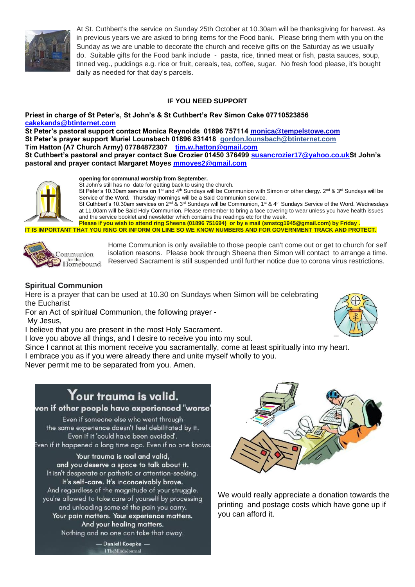

At St. Cuthbert's the service on Sunday 25th October at 10.30am will be thanksgiving for harvest. As in previous years we are asked to bring items for the Food bank. Please bring them with you on the Sunday as we are unable to decorate the church and receive gifts on the Saturday as we usually do. Suitable gifts for the Food bank include - pasta, rice, tinned meat or fish, pasta sauces, soup, tinned veg., puddings e.g. rice or fruit, cereals, tea, coffee, sugar. No fresh food please, it's bought daily as needed for that day's parcels.

## **IF YOU NEED SUPPORT**

#### **Priest in charge of St Peter's, St John's & St Cuthbert's Rev Simon Cake 07710523856 [cakekands@btinternet.com](mailto:cakekands@btinternet.com)**

**St Peter's pastoral support contact Monica Reynolds 01896 757114 [monica@tempelstowe.com](mailto:monica@tempelstowe.com) St Peter's prayer support Muriel Lounsbach 01896 831418 gordon.lounsbach@btinternet.com Tim Hatton (A7 Church Army) 07784872307 [tim.w.hatton@gmail.com](mailto:tim.w.hutton@gmail.com) St Cuthbert's pastoral and prayer contact Sue Crozier 01450 376499 [susancrozier17@yahoo.co.ukS](mailto:susancrozier17@yahoo.co.uk)t John's pastoral and prayer contact Margaret Moyes [mmoyes2@gmail.com](mailto:mmoyes2@gmail.com)**



#### **opening for communal worship from September.**

St John's still has no date for getting back to using the church.

St Peter's 10.30am services on 1<sup>st</sup> and 4<sup>th</sup> Sundays will be Communion with Simon or other clergy. 2<sup>nd</sup> & 3<sup>rd</sup> Sundays will be Service of the Word. Thursday mornings will be a Said Communion service.

St Cuthbert's 10.30am services on  $2^{nd}$  &  $3^{rd}$  Sundays will be Communion, 1<sup>st</sup> & 4<sup>th</sup> Sundays Service of the Word. Wednesdays at 11.00am will be Said Holy Communion. Please remember to bring a face covering to wear unless you have health issues and the service booklet and newsletter which contains the readings etc for the week.

**Please if you wish to attend ring Sheena (01896 751694) or by e mail (smstcg1945@gmail.com) by Friday . IT IS IMPORTANT THAT YOU RING OR INFORM ON LINE SO WE KNOW NUMBERS AND FOR GOVERNMENT TRACK AND PROTECT.**



Home Communion is only available to those people can't come out or get to church for self isolation reasons. Please book through Sheena then Simon will contact to arrange a time. Reserved Sacrament is still suspended until further notice due to corona virus restrictions.

## **Spiritual Communion**

Here is a prayer that can be used at 10.30 on Sundays when Simon will be celebrating the Eucharist

For an Act of spiritual Communion, the following prayer - My Jesus,

I believe that you are present in the most Holy Sacrament.

I love you above all things, and I desire to receive you into my soul.

Since I cannot at this moment receive you sacramentally, come at least spiritually into my heart. I embrace you as if you were already there and unite myself wholly to you.

Never permit me to be separated from you. Amen.

# $\mathbf Y$ our trauma is valid.

## ven if other people have experienced "worse'

Even if someone else who went through the same experience doesn't feel debilitated by it. Even if it 'could have been avoided'. Even if it happened a long time ago. Even if no one knows.

Your trauma is real and valid, and you deserve a space to talk about it. It isn't desperate or pathetic or attention-seeking. It's self-care. It's inconceivably brave. And regardless of the magnitude of your struggle, you're allowed to take care of yourself by processing and unloading some of the pain you carry. Your pain matters. Your experience matters. And your healing matters. Nothing and no one can take that away.



We would really appreciate a donation towards the printing and postage costs which have gone up if you can afford it.



- Daniell Koepke -I The Minds Journal